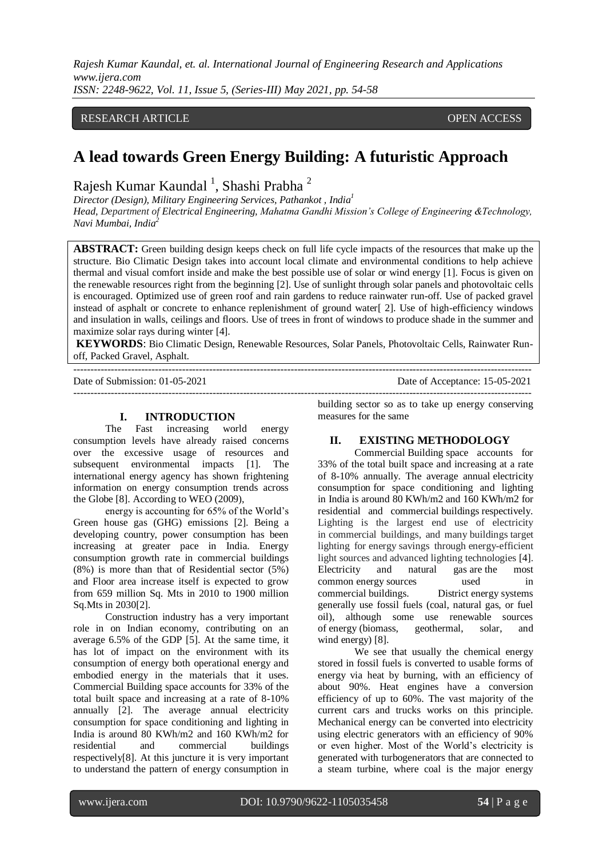*Rajesh Kumar Kaundal, et. al. International Journal of Engineering Research and Applications www.ijera.com*

*ISSN: 2248-9622, Vol. 11, Issue 5, (Series-III) May 2021, pp. 54-58*

# RESEARCH ARTICLE OPEN ACCESS

# **A lead towards Green Energy Building: A futuristic Approach**

Rajesh Kumar Kaundal<sup>1</sup>, Shashi Prabha<sup>2</sup>

*Director (Design), Military Engineering Services, Pathankot , India<sup>1</sup> Head, Department of Electrical Engineering, Mahatma Gandhi Mission's College of Engineering &Technology, Navi Mumbai, India<sup>2</sup>*

**ABSTRACT:** Green building design keeps check on full life cycle impacts of the resources that make up the structure. Bio Climatic Design takes into account local climate and environmental conditions to help achieve thermal and visual comfort inside and make the best possible use of solar or wind energy [1]. Focus is given on the renewable resources right from the beginning [2]. Use of sunlight through solar panels and photovoltaic cells is encouraged. Optimized use of green roof and rain gardens to reduce rainwater run-off. Use of packed gravel instead of asphalt or concrete to enhance replenishment of ground water[ 2]. Use of high-efficiency windows and insulation in walls, ceilings and floors. Use of trees in front of windows to produce shade in the summer and maximize solar rays during winter [4].

**KEYWORDS**: Bio Climatic Design, Renewable Resources, Solar Panels, Photovoltaic Cells, Rainwater Runoff, Packed Gravel, Asphalt. ---------------------------------------------------------------------------------------------------------------------------------------

Date of Submission: 01-05-2021 Date of Acceptance: 15-05-2021

---------------------------------------------------------------------------------------------------------------------------------------

#### **I. INTRODUCTION**

The Fast increasing world energy consumption levels have already raised concerns over the excessive usage of resources and subsequent environmental impacts [1]. The international energy agency has shown frightening information on energy consumption trends across the Globe [8]. According to WEO (2009),

energy is accounting for 65% of the World's Green house gas (GHG) emissions [2]. Being a developing country, power consumption has been increasing at greater pace in India. Energy consumption growth rate in commercial buildings (8%) is more than that of Residential sector (5%) and Floor area increase itself is expected to grow from 659 million Sq. Mts in 2010 to 1900 million Sq.Mts in 2030[2].

Construction industry has a very important role in on Indian economy, contributing on an average 6.5% of the GDP [5]. At the same time, it has lot of impact on the environment with its consumption of energy both operational energy and embodied energy in the materials that it uses. Commercial Building space accounts for 33% of the total built space and increasing at a rate of 8-10% annually [2]. The average annual electricity consumption for space conditioning and lighting in India is around 80 KWh/m2 and 160 KWh/m2 for residential and commercial buildings respectively[8]. At this juncture it is very important to understand the pattern of energy consumption in building sector so as to take up energy conserving measures for the same

# **II. EXISTING METHODOLOGY**

Commercial Building space accounts for 33% of the total built space and increasing at a rate of 8-10% annually. The average annual electricity consumption for space conditioning and lighting in India is around 80 KWh/m2 and 160 KWh/m2 for residential and commercial buildings respectively. Lighting is the largest end use of electricity in commercial buildings, and many buildings target lighting for energy savings through energy-efficient light sources and advanced lighting technologies [4]. Electricity and natural gas are the most common energy sources used in commercial buildings. District energy systems generally use fossil fuels (coal, natural gas, or fuel oil), although some use renewable sources of energy (biomass, geothermal, solar, and wind energy) [8].

We see that usually the chemical energy stored in fossil fuels is converted to usable forms of energy via heat by burning, with an efficiency of about 90%. Heat engines have a conversion efficiency of up to 60%. The vast majority of the current cars and trucks works on this principle. Mechanical energy can be converted into electricity using electric generators with an efficiency of 90% or even higher. Most of the World's electricity is generated with turbogenerators that are connected to a steam turbine, where coal is the major energy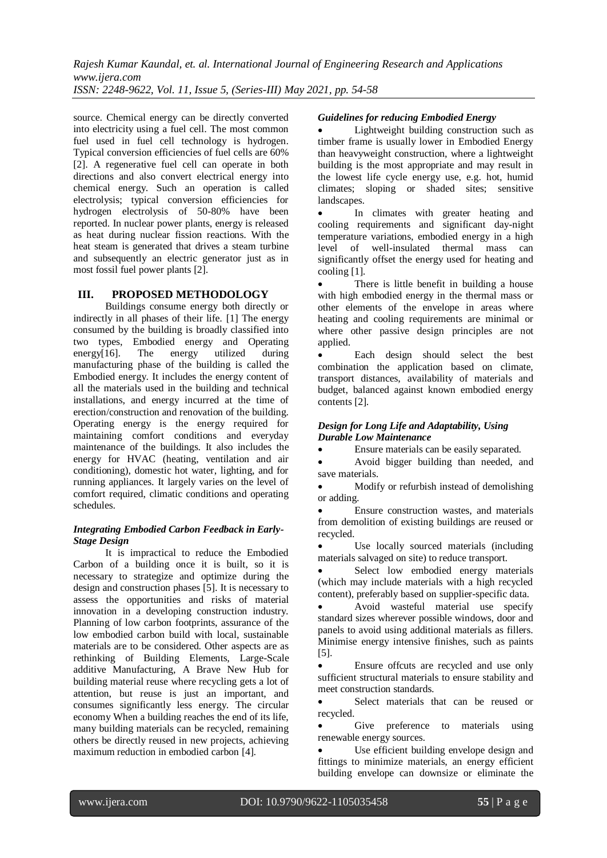*Rajesh Kumar Kaundal, et. al. International Journal of Engineering Research and Applications www.ijera.com ISSN: 2248-9622, Vol. 11, Issue 5, (Series-III) May 2021, pp. 54-58*

source. Chemical energy can be directly converted into electricity using a fuel cell. The most common fuel used in fuel cell technology is hydrogen. Typical conversion efficiencies of fuel cells are 60% [2]. A regenerative fuel cell can operate in both directions and also convert electrical energy into chemical energy. Such an operation is called electrolysis; typical conversion efficiencies for hydrogen electrolysis of 50-80% have been reported. In nuclear power plants, energy is released as heat during nuclear fission reactions. With the heat steam is generated that drives a steam turbine and subsequently an electric generator just as in most fossil fuel power plants [2].

## **III. PROPOSED METHODOLOGY**

Buildings consume energy both directly or indirectly in all phases of their life. [1] The energy consumed by the building is broadly classified into two types, Embodied energy and Operating energy[16]. The energy utilized during manufacturing phase of the building is called the Embodied energy. It includes the energy content of all the materials used in the building and technical installations, and energy incurred at the time of erection/construction and renovation of the building. Operating energy is the energy required for maintaining comfort conditions and everyday maintenance of the buildings. It also includes the energy for HVAC (heating, ventilation and air conditioning), domestic hot water, lighting, and for running appliances. It largely varies on the level of comfort required, climatic conditions and operating schedules.

## *Integrating Embodied Carbon Feedback in Early-Stage Design*

It is impractical to reduce the Embodied Carbon of a building once it is built, so it is necessary to strategize and optimize during the design and construction phases [5]. It is necessary to assess the opportunities and risks of material innovation in a developing construction industry. Planning of low carbon footprints, assurance of the low embodied carbon build with local, sustainable materials are to be considered. Other aspects are as rethinking of Building Elements, Large-Scale additive Manufacturing, A Brave New Hub for building material reuse where recycling gets a lot of attention, but reuse is just an important, and consumes significantly less energy. The circular economy When a building reaches the end of its life, many building materials can be recycled, remaining others be directly reused in new projects, achieving maximum reduction in embodied carbon [4].

## *Guidelines for reducing Embodied Energy*

 Lightweight building construction such as timber frame is usually lower in Embodied Energy than heavyweight construction, where a lightweight building is the most appropriate and may result in the lowest life cycle energy use, e.g. hot, humid climates; sloping or shaded sites; sensitive landscapes.

• In climates with greater heating and cooling requirements and significant day-night temperature variations, embodied energy in a high level of well-insulated thermal mass can significantly offset the energy used for heating and cooling [1].

 There is little benefit in building a house with high embodied energy in the thermal mass or other elements of the envelope in areas where heating and cooling requirements are minimal or where other passive design principles are not applied.

 Each design should select the best combination the application based on climate, transport distances, availability of materials and budget, balanced against known embodied energy contents [2].

## *Design for Long Life and Adaptability, Using Durable Low Maintenance*

Ensure materials can be easily separated.

 Avoid bigger building than needed, and save materials.

• Modify or refurbish instead of demolishing or adding.

 Ensure construction wastes, and materials from demolition of existing buildings are reused or recycled.

 Use locally sourced materials (including materials salvaged on site) to reduce transport.

 Select low embodied energy materials (which may include materials with a high recycled content), preferably based on supplier-specific data.

 Avoid wasteful material use specify standard sizes wherever possible windows, door and panels to avoid using additional materials as fillers. Minimise energy intensive finishes, such as paints [5].

 Ensure offcuts are recycled and use only sufficient structural materials to ensure stability and meet construction standards.

 Select materials that can be reused or recycled.

 Give preference to materials using renewable energy sources.

 Use efficient building envelope design and fittings to minimize materials, an energy efficient building envelope can downsize or eliminate the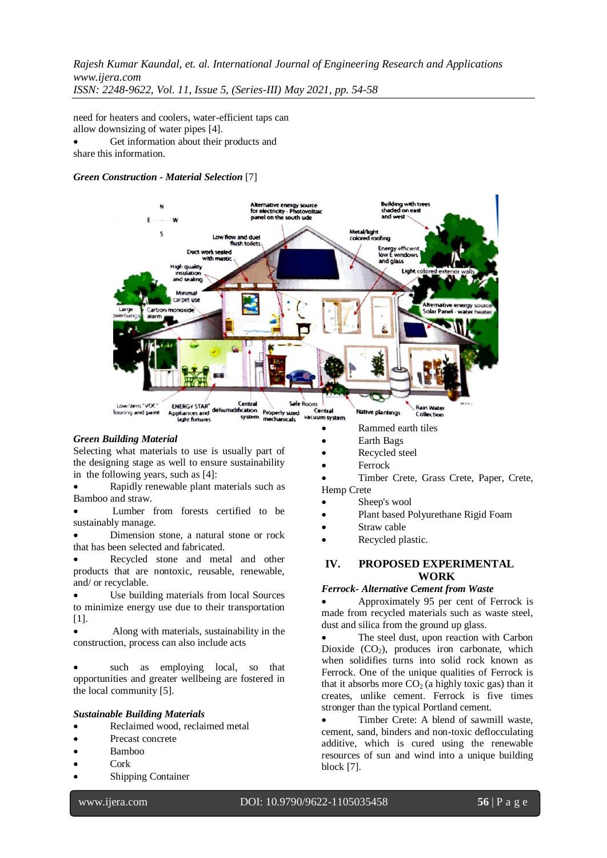*Rajesh Kumar Kaundal, et. al. International Journal of Engineering Research and Applications www.ijera.com ISSN: 2248-9622, Vol. 11, Issue 5, (Series-III) May 2021, pp. 54-58*

need for heaters and coolers, water-efficient taps can allow downsizing of water pipes [4]. Get information about their products and

share this information.

## *Green Construction - Material Selection* [7]



#### *Green Building Material*

Selecting what materials to use is usually part of the designing stage as well to ensure sustainability in the following years, such as [4]:

 Rapidly renewable plant materials such as Bamboo and straw.

 Lumber from forests certified to be sustainably manage.

 Dimension stone, a natural stone or rock that has been selected and fabricated.

 Recycled stone and metal and other products that are nontoxic, reusable, renewable, and/ or recyclable.

 Use building materials from local Sources to minimize energy use due to their transportation [1].

 Along with materials, sustainability in the construction, process can also include acts

 such as employing local, so that opportunities and greater wellbeing are fostered in the local community [5].

## *Sustainable Building Materials*

- Reclaimed wood, reclaimed metal
- Precast concrete
- Bamboo
- Cork
- Shipping Container
- Rammed earth tiles
- Earth Bags
- Recycled steel
- Ferrock

 Timber Crete, Grass Crete, Paper, Crete, Hemp Crete

- Sheep's wool
- Plant based Polyurethane Rigid Foam
- Straw cable
- Recycled plastic.

## **IV. PROPOSED EXPERIMENTAL WORK**

#### *Ferrock- Alternative Cement from Waste*

 Approximately 95 per cent of Ferrock is made from recycled materials such as waste steel, dust and silica from the ground up glass.

 The steel dust, upon reaction with Carbon Dioxide  $(CO_2)$ , produces iron carbonate, which when solidifies turns into solid rock known as Ferrock. One of the unique qualities of Ferrock is that it absorbs more  $CO<sub>2</sub>$  (a highly toxic gas) than it creates, unlike cement. Ferrock is five times stronger than the typical Portland cement.

 Timber Crete: A blend of sawmill waste, cement, sand, binders and non-toxic deflocculating additive, which is cured using the renewable resources of sun and wind into a unique building block [7].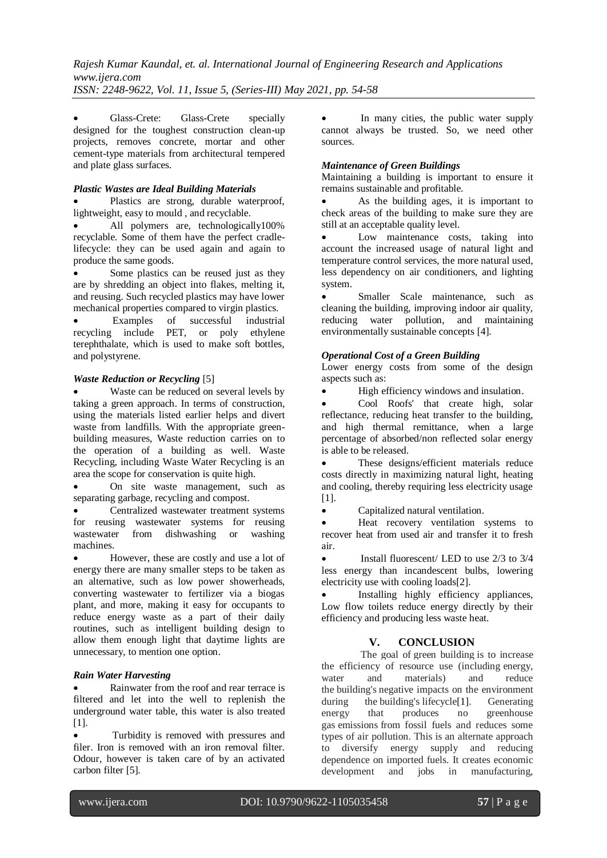*Rajesh Kumar Kaundal, et. al. International Journal of Engineering Research and Applications www.ijera.com ISSN: 2248-9622, Vol. 11, Issue 5, (Series-III) May 2021, pp. 54-58*

 Glass-Crete: Glass-Crete specially designed for the toughest construction clean-up projects, removes concrete, mortar and other cement-type materials from architectural tempered and plate glass surfaces.

## *Plastic Wastes are Ideal Building Materials*

 Plastics are strong, durable waterproof, lightweight, easy to mould , and recyclable.

 All polymers are, technologically100% recyclable. Some of them have the perfect cradlelifecycle: they can be used again and again to produce the same goods.

 Some plastics can be reused just as they are by shredding an object into flakes, melting it, and reusing. Such recycled plastics may have lower mechanical properties compared to virgin plastics.

 Examples of successful industrial recycling include PET, or poly ethylene terephthalate, which is used to make soft bottles, and polystyrene.

## *Waste Reduction or Recycling* [5]

 Waste can be reduced on several levels by taking a green approach. In terms of construction, using the materials listed earlier helps and divert waste from landfills. With the appropriate greenbuilding measures, Waste reduction carries on to the operation of a building as well. Waste Recycling, including Waste Water Recycling is an area the scope for conservation is quite high.

 On site waste management, such as separating garbage, recycling and compost.

 Centralized wastewater treatment systems for reusing wastewater systems for reusing wastewater from dishwashing or washing machines.

 However, these are costly and use a lot of energy there are many smaller steps to be taken as an alternative, such as low power showerheads, converting wastewater to fertilizer via a biogas plant, and more, making it easy for occupants to reduce energy waste as a part of their daily routines, such as intelligent building design to allow them enough light that daytime lights are unnecessary, to mention one option.

# *Rain Water Harvesting*

 Rainwater from the roof and rear terrace is filtered and let into the well to replenish the underground water table, this water is also treated [1].

 Turbidity is removed with pressures and filer. Iron is removed with an iron removal filter. Odour, however is taken care of by an activated carbon filter [5].

 In many cities, the public water supply cannot always be trusted. So, we need other sources.

## *Maintenance of Green Buildings*

Maintaining a building is important to ensure it remains sustainable and profitable.

 As the building ages, it is important to check areas of the building to make sure they are still at an acceptable quality level.

• Low maintenance costs, taking into account the increased usage of natural light and temperature control services, the more natural used, less dependency on air conditioners, and lighting system.

 Smaller Scale maintenance, such as cleaning the building, improving indoor air quality, reducing water pollution, and maintaining environmentally sustainable concepts [4].

## *Operational Cost of a Green Building*

Lower energy costs from some of the design aspects such as:

High efficiency windows and insulation.

 Cool Roofs' that create high, solar reflectance, reducing heat transfer to the building, and high thermal remittance, when a large percentage of absorbed/non reflected solar energy is able to be released.

 These designs/efficient materials reduce costs directly in maximizing natural light, heating and cooling, thereby requiring less electricity usage [1].

Capitalized natural ventilation.

 Heat recovery ventilation systems to recover heat from used air and transfer it to fresh air.

 Install fluorescent/ LED to use 2/3 to 3/4 less energy than incandescent bulbs, lowering electricity use with cooling loads[2].

 Installing highly efficiency appliances, Low flow toilets reduce energy directly by their efficiency and producing less waste heat.

# **V. CONCLUSION**

The goal of green building is to increase the efficiency of resource use (including energy, water and materials) and reduce the building's negative impacts on the environment during the building's lifecycle<sup>[1]</sup>. Generating energy that produces no greenhouse gas emissions from fossil fuels and reduces some types of air pollution. This is an alternate approach to diversify energy supply and reducing dependence on imported fuels. It creates economic development and jobs in manufacturing,